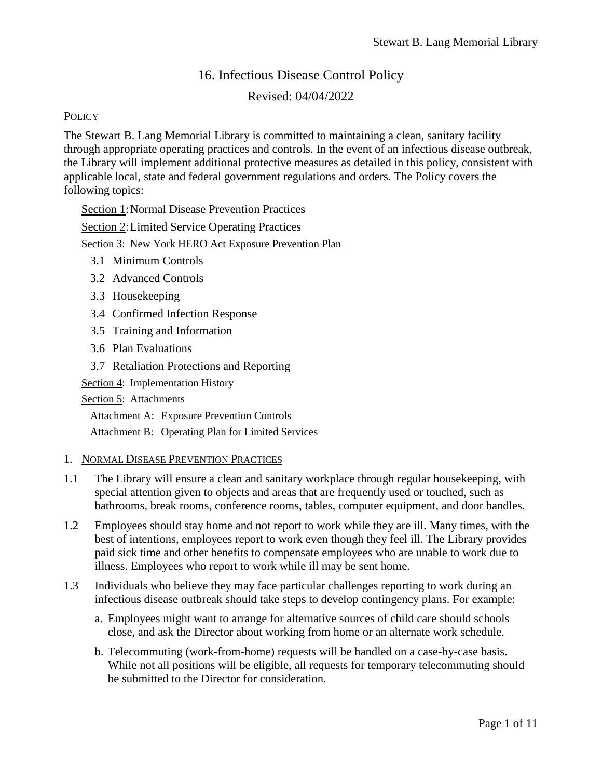# 16. Infectious Disease Control Policy

## Revised: 04/04/2022

#### **POLICY**

The Stewart B. Lang Memorial Library is committed to maintaining a clean, sanitary facility through appropriate operating practices and controls. In the event of an infectious disease outbreak, the Library will implement additional protective measures as detailed in this policy, consistent with applicable local, state and federal government regulations and orders. The Policy covers the following topics:

Section 1:Normal Disease Prevention Practices

Section 2:Limited Service Operating Practices

Section 3: New York HERO Act Exposure Prevention Plan

- 3.1 Minimum Controls
- 3.2 Advanced Controls
- 3.3 Housekeeping
- 3.4 Confirmed Infection Response
- 3.5 Training and Information
- 3.6 Plan Evaluations
- 3.7 Retaliation Protections and Reporting

Section 4: Implementation History

Section 5: Attachments

Attachment A: Exposure Prevention Controls

Attachment B: Operating Plan for Limited Services

#### 1. NORMAL DISEASE PREVENTION PRACTICES

- 1.1 The Library will ensure a clean and sanitary workplace through regular housekeeping, with special attention given to objects and areas that are frequently used or touched, such as bathrooms, break rooms, conference rooms, tables, computer equipment, and door handles.
- 1.2 Employees should stay home and not report to work while they are ill. Many times, with the best of intentions, employees report to work even though they feel ill. The Library provides paid sick time and other benefits to compensate employees who are unable to work due to illness. Employees who report to work while ill may be sent home.
- 1.3 Individuals who believe they may face particular challenges reporting to work during an infectious disease outbreak should take steps to develop contingency plans. For example:
	- a. Employees might want to arrange for alternative sources of child care should schools close, and ask the Director about working from home or an alternate work schedule.
	- b. Telecommuting (work-from-home) requests will be handled on a case-by-case basis. While not all positions will be eligible, all requests for temporary telecommuting should be submitted to the Director for consideration.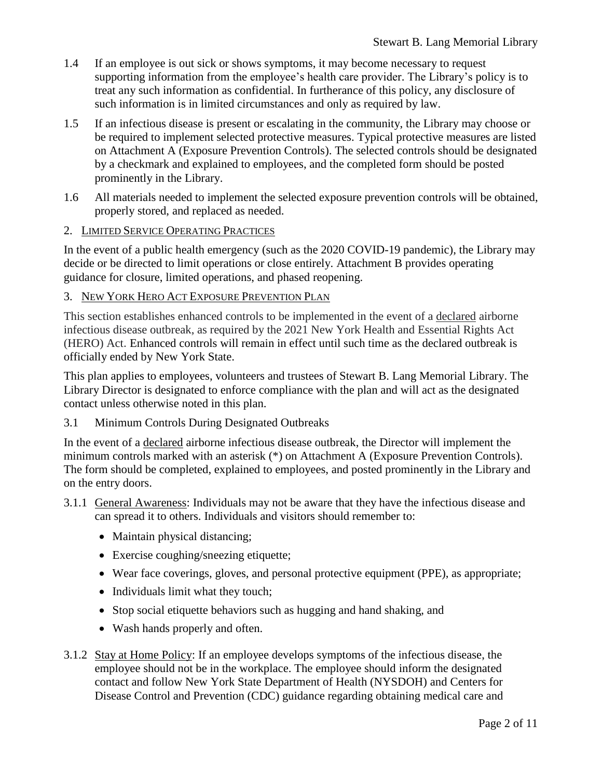- 1.4 If an employee is out sick or shows symptoms, it may become necessary to request supporting information from the employee's health care provider. The Library's policy is to treat any such information as confidential. In furtherance of this policy, any disclosure of such information is in limited circumstances and only as required by law.
- 1.5 If an infectious disease is present or escalating in the community, the Library may choose or be required to implement selected protective measures. Typical protective measures are listed on Attachment A (Exposure Prevention Controls). The selected controls should be designated by a checkmark and explained to employees, and the completed form should be posted prominently in the Library.
- 1.6 All materials needed to implement the selected exposure prevention controls will be obtained, properly stored, and replaced as needed.

#### 2. LIMITED SERVICE OPERATING PRACTICES

In the event of a public health emergency (such as the 2020 COVID-19 pandemic), the Library may decide or be directed to limit operations or close entirely. Attachment B provides operating guidance for closure, limited operations, and phased reopening.

#### 3. NEW YORK HERO ACT EXPOSURE PREVENTION PLAN

This section establishes enhanced controls to be implemented in the event of a declared airborne infectious disease outbreak, as required by the 2021 New York Health and Essential Rights Act (HERO) Act. Enhanced controls will remain in effect until such time as the declared outbreak is officially ended by New York State.

This plan applies to employees, volunteers and trustees of Stewart B. Lang Memorial Library. The Library Director is designated to enforce compliance with the plan and will act as the designated contact unless otherwise noted in this plan.

#### 3.1 Minimum Controls During Designated Outbreaks

In the event of a declared airborne infectious disease outbreak, the Director will implement the minimum controls marked with an asterisk (\*) on Attachment A (Exposure Prevention Controls). The form should be completed, explained to employees, and posted prominently in the Library and on the entry doors.

#### 3.1.1 General Awareness: Individuals may not be aware that they have the infectious disease and can spread it to others. Individuals and visitors should remember to:

- Maintain physical distancing;
- Exercise coughing/sneezing etiquette;
- Wear face coverings, gloves, and personal protective equipment (PPE), as appropriate;
- Individuals limit what they touch;
- Stop social etiquette behaviors such as hugging and hand shaking, and
- Wash hands properly and often.
- 3.1.2 Stay at Home Policy: If an employee develops symptoms of the infectious disease, the employee should not be in the workplace. The employee should inform the designated contact and follow New York State Department of Health (NYSDOH) and Centers for Disease Control and Prevention (CDC) guidance regarding obtaining medical care and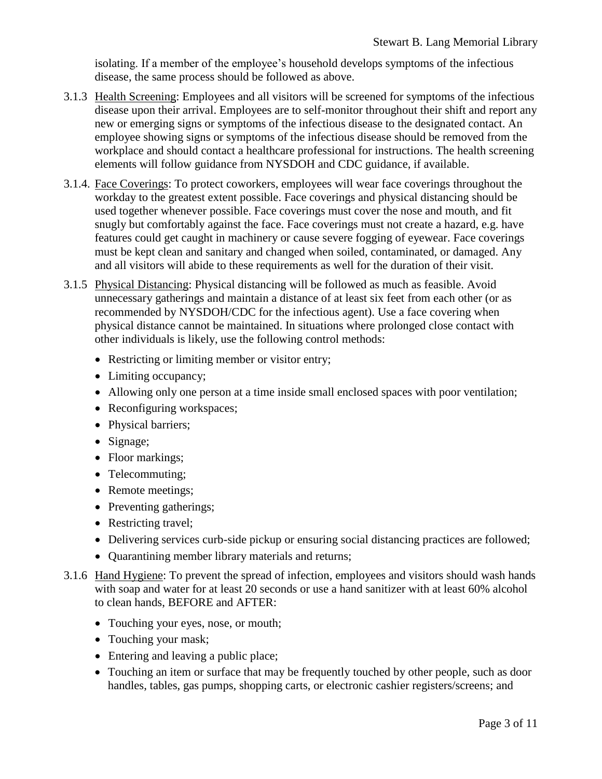isolating. If a member of the employee's household develops symptoms of the infectious disease, the same process should be followed as above.

- 3.1.3 Health Screening: Employees and all visitors will be screened for symptoms of the infectious disease upon their arrival. Employees are to self-monitor throughout their shift and report any new or emerging signs or symptoms of the infectious disease to the designated contact. An employee showing signs or symptoms of the infectious disease should be removed from the workplace and should contact a healthcare professional for instructions. The health screening elements will follow guidance from NYSDOH and CDC guidance, if available.
- 3.1.4. Face Coverings: To protect coworkers, employees will wear face coverings throughout the workday to the greatest extent possible. Face coverings and physical distancing should be used together whenever possible. Face coverings must cover the nose and mouth, and fit snugly but comfortably against the face. Face coverings must not create a hazard, e.g. have features could get caught in machinery or cause severe fogging of eyewear. Face coverings must be kept clean and sanitary and changed when soiled, contaminated, or damaged. Any and all visitors will abide to these requirements as well for the duration of their visit.
- 3.1.5 Physical Distancing: Physical distancing will be followed as much as feasible. Avoid unnecessary gatherings and maintain a distance of at least six feet from each other (or as recommended by NYSDOH/CDC for the infectious agent). Use a face covering when physical distance cannot be maintained. In situations where prolonged close contact with other individuals is likely, use the following control methods:
	- Restricting or limiting member or visitor entry;
	- Limiting occupancy;
	- Allowing only one person at a time inside small enclosed spaces with poor ventilation;
	- Reconfiguring workspaces;
	- Physical barriers;
	- Signage;
	- Floor markings;
	- Telecommuting;
	- Remote meetings;
	- Preventing gatherings;
	- Restricting travel;
	- Delivering services curb-side pickup or ensuring social distancing practices are followed;
	- Quarantining member library materials and returns;
- 3.1.6 Hand Hygiene: To prevent the spread of infection, employees and visitors should wash hands with soap and water for at least 20 seconds or use a hand sanitizer with at least 60% alcohol to clean hands, BEFORE and AFTER:
	- Touching your eyes, nose, or mouth;
	- Touching your mask;
	- Entering and leaving a public place;
	- Touching an item or surface that may be frequently touched by other people, such as door handles, tables, gas pumps, shopping carts, or electronic cashier registers/screens; and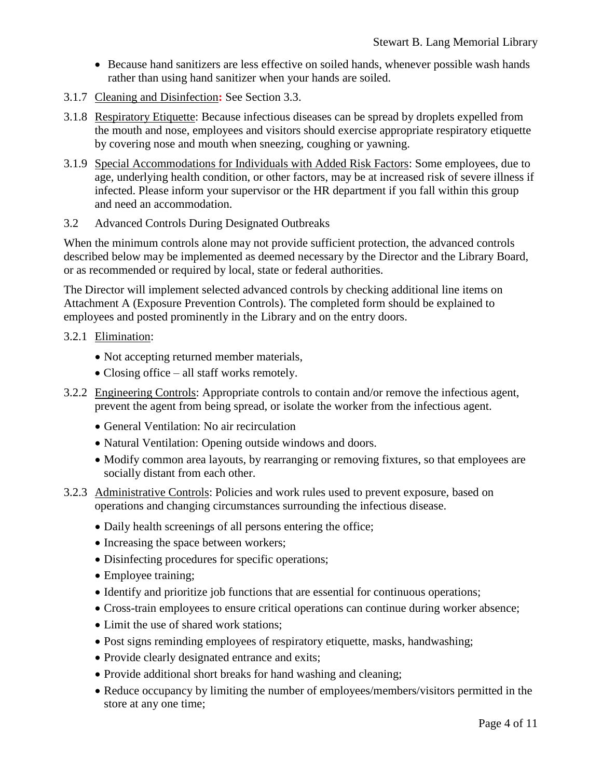- Because hand sanitizers are less effective on soiled hands, whenever possible wash hands rather than using hand sanitizer when your hands are soiled.
- 3.1.7 Cleaning and Disinfection**:** See Section 3.3.
- 3.1.8 Respiratory Etiquette: Because infectious diseases can be spread by droplets expelled from the mouth and nose, employees and visitors should exercise appropriate respiratory etiquette by covering nose and mouth when sneezing, coughing or yawning.
- 3.1.9 Special Accommodations for Individuals with Added Risk Factors: Some employees, due to age, underlying health condition, or other factors, may be at increased risk of severe illness if infected. Please inform your supervisor or the HR department if you fall within this group and need an accommodation.
- 3.2 Advanced Controls During Designated Outbreaks

When the minimum controls alone may not provide sufficient protection, the advanced controls described below may be implemented as deemed necessary by the Director and the Library Board, or as recommended or required by local, state or federal authorities.

The Director will implement selected advanced controls by checking additional line items on Attachment A (Exposure Prevention Controls). The completed form should be explained to employees and posted prominently in the Library and on the entry doors.

#### 3.2.1 Elimination:

- Not accepting returned member materials,
- Closing office all staff works remotely.
- 3.2.2 Engineering Controls: Appropriate controls to contain and/or remove the infectious agent, prevent the agent from being spread, or isolate the worker from the infectious agent.
	- General Ventilation: No air recirculation
	- Natural Ventilation: Opening outside windows and doors.
	- Modify common area layouts, by rearranging or removing fixtures, so that employees are socially distant from each other.
- 3.2.3 Administrative Controls: Policies and work rules used to prevent exposure, based on operations and changing circumstances surrounding the infectious disease.
	- Daily health screenings of all persons entering the office;
	- Increasing the space between workers;
	- Disinfecting procedures for specific operations;
	- Employee training;
	- Identify and prioritize job functions that are essential for continuous operations;
	- Cross-train employees to ensure critical operations can continue during worker absence;
	- Limit the use of shared work stations:
	- Post signs reminding employees of respiratory etiquette, masks, handwashing;
	- Provide clearly designated entrance and exits;
	- Provide additional short breaks for hand washing and cleaning;
	- Reduce occupancy by limiting the number of employees/members/visitors permitted in the store at any one time;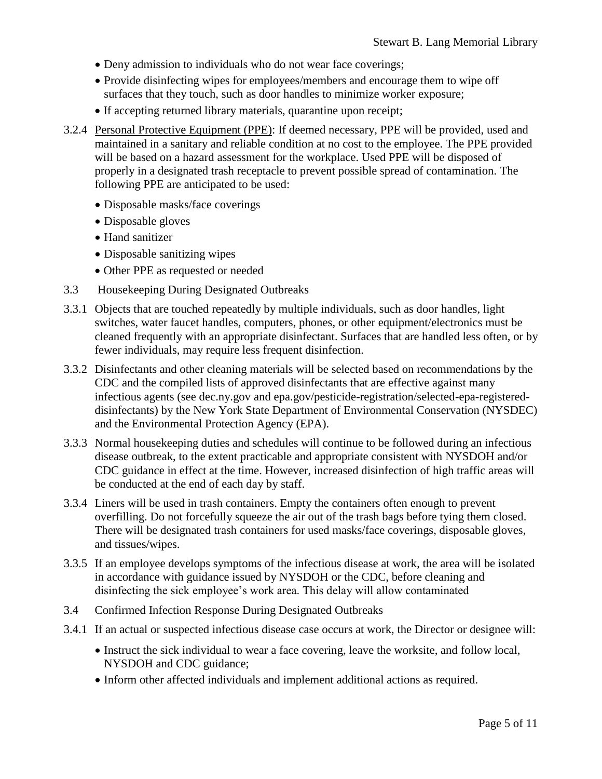- Deny admission to individuals who do not wear face coverings;
- Provide disinfecting wipes for employees/members and encourage them to wipe off surfaces that they touch, such as door handles to minimize worker exposure;
- If accepting returned library materials, quarantine upon receipt;
- 3.2.4 Personal Protective Equipment (PPE): If deemed necessary, PPE will be provided, used and maintained in a sanitary and reliable condition at no cost to the employee. The PPE provided will be based on a hazard assessment for the workplace. Used PPE will be disposed of properly in a designated trash receptacle to prevent possible spread of contamination. The following PPE are anticipated to be used:
	- Disposable masks/face coverings
	- Disposable gloves
	- Hand sanitizer
	- Disposable sanitizing wipes
	- Other PPE as requested or needed
- 3.3 Housekeeping During Designated Outbreaks
- 3.3.1 Objects that are touched repeatedly by multiple individuals, such as door handles, light switches, water faucet handles, computers, phones, or other equipment/electronics must be cleaned frequently with an appropriate disinfectant. Surfaces that are handled less often, or by fewer individuals, may require less frequent disinfection.
- 3.3.2 Disinfectants and other cleaning materials will be selected based on recommendations by the CDC and the compiled lists of approved disinfectants that are effective against many infectious agents (see dec.ny.gov and epa.gov/pesticide-registration/selected-epa-registereddisinfectants) by the New York State Department of Environmental Conservation (NYSDEC) and the Environmental Protection Agency (EPA).
- 3.3.3 Normal housekeeping duties and schedules will continue to be followed during an infectious disease outbreak, to the extent practicable and appropriate consistent with NYSDOH and/or CDC guidance in effect at the time. However, increased disinfection of high traffic areas will be conducted at the end of each day by staff.
- 3.3.4 Liners will be used in trash containers. Empty the containers often enough to prevent overfilling. Do not forcefully squeeze the air out of the trash bags before tying them closed. There will be designated trash containers for used masks/face coverings, disposable gloves, and tissues/wipes.
- 3.3.5 If an employee develops symptoms of the infectious disease at work, the area will be isolated in accordance with guidance issued by NYSDOH or the CDC, before cleaning and disinfecting the sick employee's work area. This delay will allow contaminated
- 3.4 Confirmed Infection Response During Designated Outbreaks
- 3.4.1 If an actual or suspected infectious disease case occurs at work, the Director or designee will:
	- Instruct the sick individual to wear a face covering, leave the worksite, and follow local, NYSDOH and CDC guidance;
	- Inform other affected individuals and implement additional actions as required.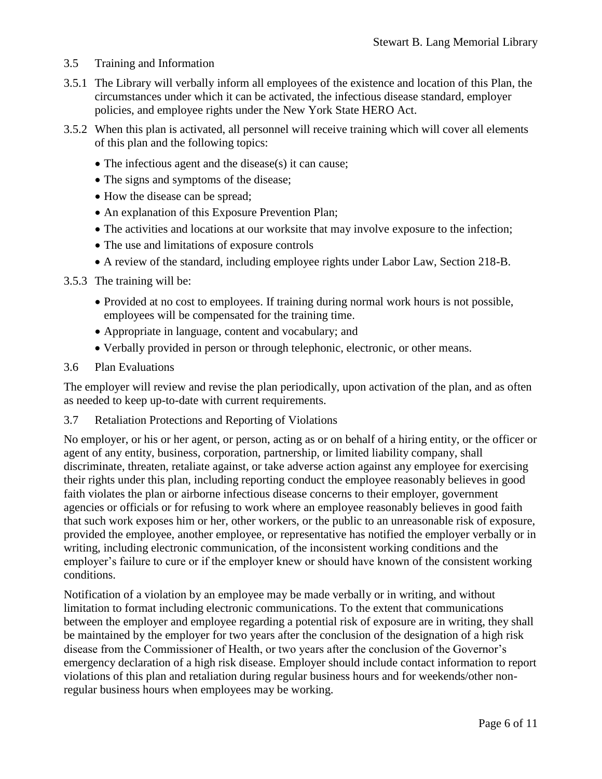- 3.5 Training and Information
- 3.5.1 The Library will verbally inform all employees of the existence and location of this Plan, the circumstances under which it can be activated, the infectious disease standard, employer policies, and employee rights under the New York State HERO Act.
- 3.5.2 When this plan is activated, all personnel will receive training which will cover all elements of this plan and the following topics:
	- The infectious agent and the disease(s) it can cause;
	- The signs and symptoms of the disease;
	- How the disease can be spread;
	- An explanation of this Exposure Prevention Plan;
	- The activities and locations at our worksite that may involve exposure to the infection;
	- The use and limitations of exposure controls
	- A review of the standard, including employee rights under Labor Law, Section 218-B.
- 3.5.3 The training will be:
	- Provided at no cost to employees. If training during normal work hours is not possible, employees will be compensated for the training time.
	- Appropriate in language, content and vocabulary; and
	- Verbally provided in person or through telephonic, electronic, or other means.
- 3.6 Plan Evaluations

The employer will review and revise the plan periodically, upon activation of the plan, and as often as needed to keep up-to-date with current requirements.

3.7 Retaliation Protections and Reporting of Violations

No employer, or his or her agent, or person, acting as or on behalf of a hiring entity, or the officer or agent of any entity, business, corporation, partnership, or limited liability company, shall discriminate, threaten, retaliate against, or take adverse action against any employee for exercising their rights under this plan, including reporting conduct the employee reasonably believes in good faith violates the plan or airborne infectious disease concerns to their employer, government agencies or officials or for refusing to work where an employee reasonably believes in good faith that such work exposes him or her, other workers, or the public to an unreasonable risk of exposure, provided the employee, another employee, or representative has notified the employer verbally or in writing, including electronic communication, of the inconsistent working conditions and the employer's failure to cure or if the employer knew or should have known of the consistent working conditions.

Notification of a violation by an employee may be made verbally or in writing, and without limitation to format including electronic communications. To the extent that communications between the employer and employee regarding a potential risk of exposure are in writing, they shall be maintained by the employer for two years after the conclusion of the designation of a high risk disease from the Commissioner of Health, or two years after the conclusion of the Governor's emergency declaration of a high risk disease. Employer should include contact information to report violations of this plan and retaliation during regular business hours and for weekends/other nonregular business hours when employees may be working.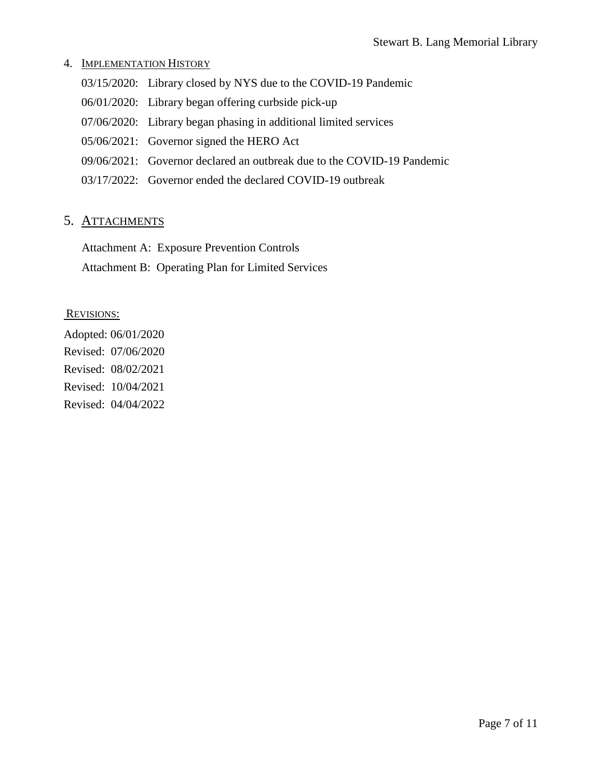### 4. IMPLEMENTATION HISTORY

- 03/15/2020: Library closed by NYS due to the COVID-19 Pandemic
- 06/01/2020: Library began offering curbside pick-up
- 07/06/2020: Library began phasing in additional limited services
- 05/06/2021: Governor signed the HERO Act
- 09/06/2021: Governor declared an outbreak due to the COVID-19 Pandemic
- 03/17/2022: Governor ended the declared COVID-19 outbreak

## 5. ATTACHMENTS

Attachment A: Exposure Prevention Controls

Attachment B: Operating Plan for Limited Services

#### REVISIONS:

Adopted: 06/01/2020 Revised: 07/06/2020 Revised: 08/02/2021 Revised: 10/04/2021 Revised: 04/04/2022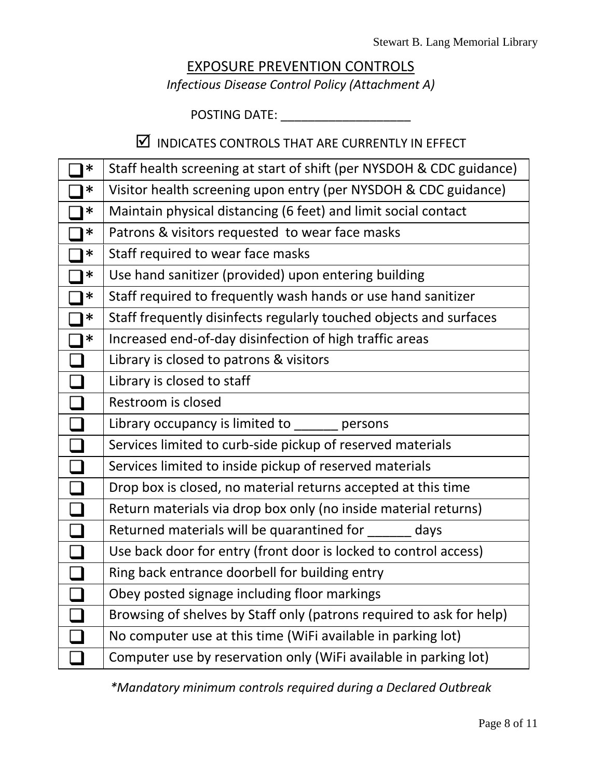# EXPOSURE PREVENTION CONTROLS *Infectious Disease Control Policy (Attachment A)*

POSTING DATE: \_\_\_\_\_\_\_\_\_\_\_\_\_\_\_\_\_\_\_

# $\boxtimes$  INDICATES CONTROLS THAT ARE CURRENTLY IN EFFECT

| $\ast$                      | Staff health screening at start of shift (per NYSDOH & CDC guidance) |
|-----------------------------|----------------------------------------------------------------------|
| ∗                           | Visitor health screening upon entry (per NYSDOH & CDC guidance)      |
| $\ast$                      | Maintain physical distancing (6 feet) and limit social contact       |
| $\ast$                      | Patrons & visitors requested to wear face masks                      |
| $\ast$                      | Staff required to wear face masks                                    |
| $\ast$                      | Use hand sanitizer (provided) upon entering building                 |
| $\ast$                      | Staff required to frequently wash hands or use hand sanitizer        |
| ∗                           | Staff frequently disinfects regularly touched objects and surfaces   |
| ∗                           | Increased end-of-day disinfection of high traffic areas              |
|                             | Library is closed to patrons & visitors                              |
|                             | Library is closed to staff                                           |
| $\mathcal{L}_{\mathcal{A}}$ | Restroom is closed                                                   |
| $\Box$                      | Library occupancy is limited to _______ persons                      |
|                             | Services limited to curb-side pickup of reserved materials           |
|                             | Services limited to inside pickup of reserved materials              |
|                             | Drop box is closed, no material returns accepted at this time        |
|                             | Return materials via drop box only (no inside material returns)      |
|                             | Returned materials will be quarantined for ______ days               |
|                             | Use back door for entry (front door is locked to control access)     |
| $\mathcal{L}_{\mathcal{A}}$ | Ring back entrance doorbell for building entry                       |
| $\Box$                      | Obey posted signage including floor markings                         |
|                             | Browsing of shelves by Staff only (patrons required to ask for help) |
|                             | No computer use at this time (WiFi available in parking lot)         |
|                             | Computer use by reservation only (WiFi available in parking lot)     |

*\*Mandatory minimum controls required during a Declared Outbreak*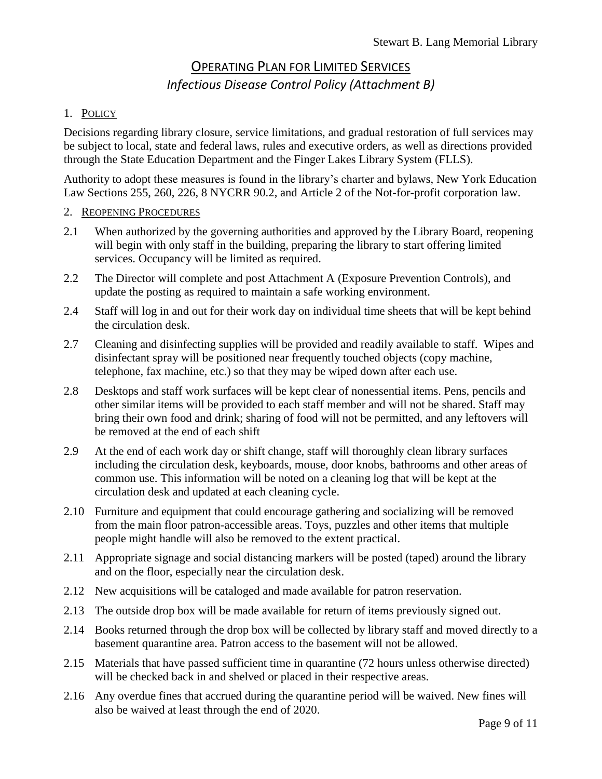# OPERATING PLAN FOR LIMITED SERVICES *Infectious Disease Control Policy (Attachment B)*

## 1. POLICY

Decisions regarding library closure, service limitations, and gradual restoration of full services may be subject to local, state and federal laws, rules and executive orders, as well as directions provided through the State Education Department and the Finger Lakes Library System (FLLS).

Authority to adopt these measures is found in the library's charter and bylaws, New York Education Law Sections 255, 260, 226, 8 NYCRR 90.2, and Article 2 of the Not-for-profit corporation law.

### 2. REOPENING PROCEDURES

- 2.1 When authorized by the governing authorities and approved by the Library Board, reopening will begin with only staff in the building, preparing the library to start offering limited services. Occupancy will be limited as required.
- 2.2 The Director will complete and post Attachment A (Exposure Prevention Controls), and update the posting as required to maintain a safe working environment.
- 2.4 Staff will log in and out for their work day on individual time sheets that will be kept behind the circulation desk.
- 2.7 Cleaning and disinfecting supplies will be provided and readily available to staff. Wipes and disinfectant spray will be positioned near frequently touched objects (copy machine, telephone, fax machine, etc.) so that they may be wiped down after each use.
- 2.8 Desktops and staff work surfaces will be kept clear of nonessential items. Pens, pencils and other similar items will be provided to each staff member and will not be shared. Staff may bring their own food and drink; sharing of food will not be permitted, and any leftovers will be removed at the end of each shift
- 2.9 At the end of each work day or shift change, staff will thoroughly clean library surfaces including the circulation desk, keyboards, mouse, door knobs, bathrooms and other areas of common use. This information will be noted on a cleaning log that will be kept at the circulation desk and updated at each cleaning cycle.
- 2.10 Furniture and equipment that could encourage gathering and socializing will be removed from the main floor patron-accessible areas. Toys, puzzles and other items that multiple people might handle will also be removed to the extent practical.
- 2.11 Appropriate signage and social distancing markers will be posted (taped) around the library and on the floor, especially near the circulation desk.
- 2.12 New acquisitions will be cataloged and made available for patron reservation.
- 2.13 The outside drop box will be made available for return of items previously signed out.
- 2.14 Books returned through the drop box will be collected by library staff and moved directly to a basement quarantine area. Patron access to the basement will not be allowed.
- 2.15 Materials that have passed sufficient time in quarantine (72 hours unless otherwise directed) will be checked back in and shelved or placed in their respective areas.
- 2.16 Any overdue fines that accrued during the quarantine period will be waived. New fines will also be waived at least through the end of 2020.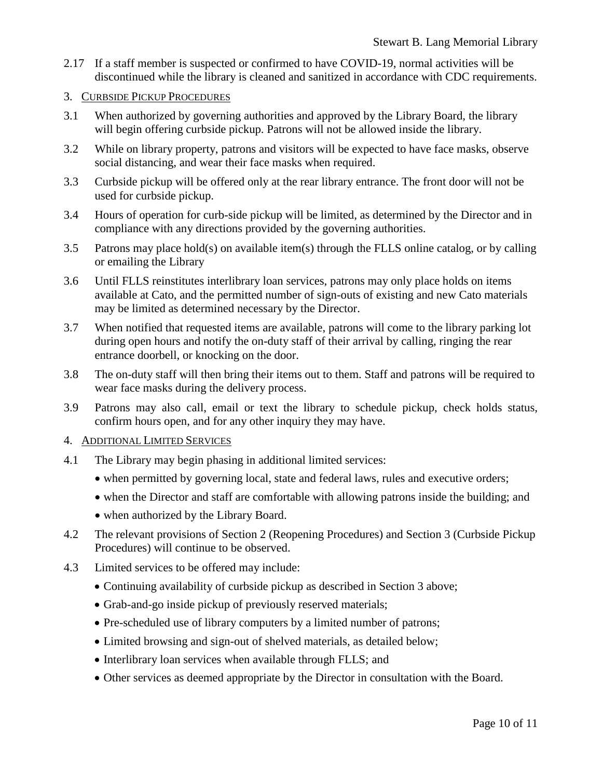- 2.17 If a staff member is suspected or confirmed to have COVID-19, normal activities will be discontinued while the library is cleaned and sanitized in accordance with CDC requirements.
- 3. CURBSIDE PICKUP PROCEDURES
- 3.1 When authorized by governing authorities and approved by the Library Board, the library will begin offering curbside pickup. Patrons will not be allowed inside the library.
- 3.2 While on library property, patrons and visitors will be expected to have face masks, observe social distancing, and wear their face masks when required.
- 3.3 Curbside pickup will be offered only at the rear library entrance. The front door will not be used for curbside pickup.
- 3.4 Hours of operation for curb-side pickup will be limited, as determined by the Director and in compliance with any directions provided by the governing authorities.
- 3.5 Patrons may place hold(s) on available item(s) through the FLLS online catalog, or by calling or emailing the Library
- 3.6 Until FLLS reinstitutes interlibrary loan services, patrons may only place holds on items available at Cato, and the permitted number of sign-outs of existing and new Cato materials may be limited as determined necessary by the Director.
- 3.7 When notified that requested items are available, patrons will come to the library parking lot during open hours and notify the on-duty staff of their arrival by calling, ringing the rear entrance doorbell, or knocking on the door.
- 3.8 The on-duty staff will then bring their items out to them. Staff and patrons will be required to wear face masks during the delivery process.
- 3.9 Patrons may also call, email or text the library to schedule pickup, check holds status, confirm hours open, and for any other inquiry they may have.

#### 4. ADDITIONAL LIMITED SERVICES

- 4.1 The Library may begin phasing in additional limited services:
	- when permitted by governing local, state and federal laws, rules and executive orders;
	- when the Director and staff are comfortable with allowing patrons inside the building; and
	- when authorized by the Library Board.
- 4.2 The relevant provisions of Section 2 (Reopening Procedures) and Section 3 (Curbside Pickup Procedures) will continue to be observed.
- 4.3 Limited services to be offered may include:
	- Continuing availability of curbside pickup as described in Section 3 above;
	- Grab-and-go inside pickup of previously reserved materials;
	- Pre-scheduled use of library computers by a limited number of patrons;
	- Limited browsing and sign-out of shelved materials, as detailed below;
	- Interlibrary loan services when available through FLLS; and
	- Other services as deemed appropriate by the Director in consultation with the Board.